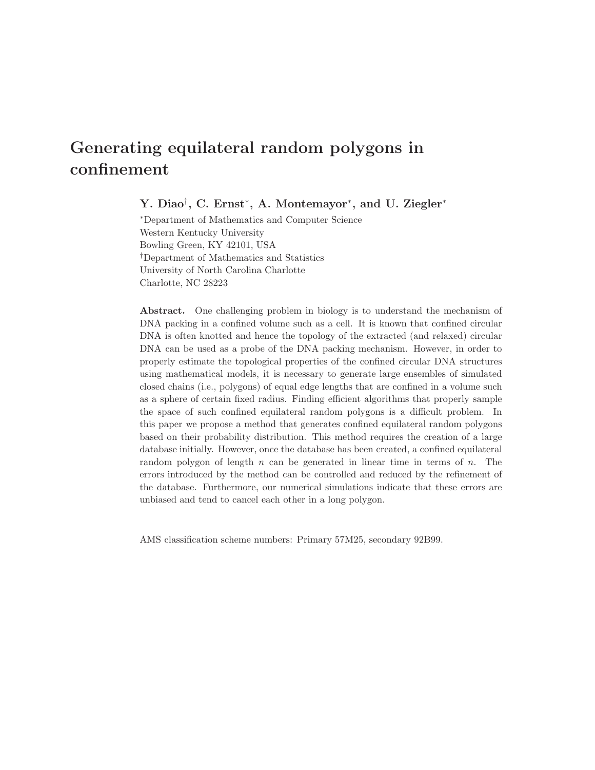# Generating equilateral random polygons in confinement

Y. Diao<sup>†</sup>, C. Ernst<sup>\*</sup>, A. Montemayor<sup>\*</sup>, and U. Ziegler<sup>\*</sup>

<sup>∗</sup>Department of Mathematics and Computer Science Western Kentucky University Bowling Green, KY 42101, USA †Department of Mathematics and Statistics University of North Carolina Charlotte Charlotte, NC 28223

Abstract. One challenging problem in biology is to understand the mechanism of DNA packing in a confined volume such as a cell. It is known that confined circular DNA is often knotted and hence the topology of the extracted (and relaxed) circular DNA can be used as a probe of the DNA packing mechanism. However, in order to properly estimate the topological properties of the confined circular DNA structures using mathematical models, it is necessary to generate large ensembles of simulated closed chains (i.e., polygons) of equal edge lengths that are confined in a volume such as a sphere of certain fixed radius. Finding efficient algorithms that properly sample the space of such confined equilateral random polygons is a difficult problem. In this paper we propose a method that generates confined equilateral random polygons based on their probability distribution. This method requires the creation of a large database initially. However, once the database has been created, a confined equilateral random polygon of length  $n$  can be generated in linear time in terms of  $n$ . The errors introduced by the method can be controlled and reduced by the refinement of the database. Furthermore, our numerical simulations indicate that these errors are unbiased and tend to cancel each other in a long polygon.

AMS classification scheme numbers: Primary 57M25, secondary 92B99.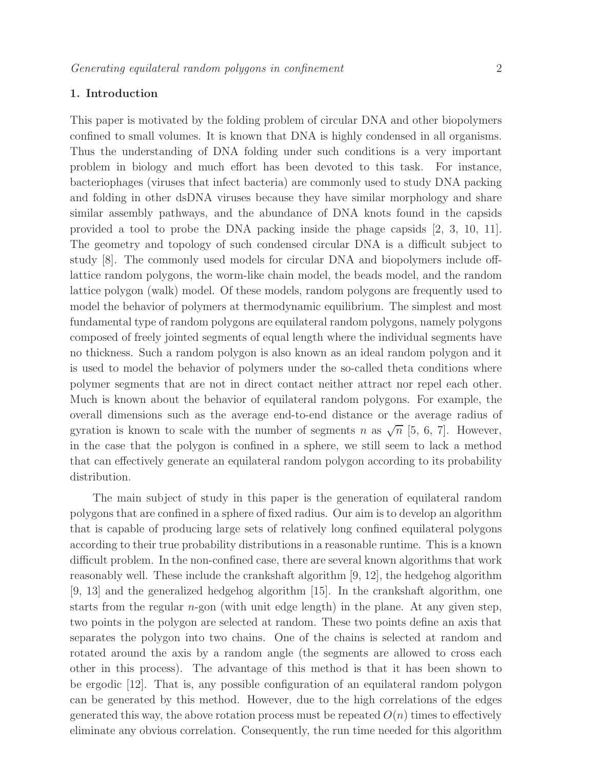# 1. Introduction

This paper is motivated by the folding problem of circular DNA and other biopolymers confined to small volumes. It is known that DNA is highly condensed in all organisms. Thus the understanding of DNA folding under such conditions is a very important problem in biology and much effort has been devoted to this task. For instance, bacteriophages (viruses that infect bacteria) are commonly used to study DNA packing and folding in other dsDNA viruses because they have similar morphology and share similar assembly pathways, and the abundance of DNA knots found in the capsids provided a tool to probe the DNA packing inside the phage capsids [2, 3, 10, 11]. The geometry and topology of such condensed circular DNA is a difficult subject to study [8]. The commonly used models for circular DNA and biopolymers include offlattice random polygons, the worm-like chain model, the beads model, and the random lattice polygon (walk) model. Of these models, random polygons are frequently used to model the behavior of polymers at thermodynamic equilibrium. The simplest and most fundamental type of random polygons are equilateral random polygons, namely polygons composed of freely jointed segments of equal length where the individual segments have no thickness. Such a random polygon is also known as an ideal random polygon and it is used to model the behavior of polymers under the so-called theta conditions where polymer segments that are not in direct contact neither attract nor repel each other. Much is known about the behavior of equilateral random polygons. For example, the overall dimensions such as the average end-to-end distance or the average radius of gyration is known to scale with the number of segments n as  $\sqrt{n}$  [5, 6, 7]. However, in the case that the polygon is confined in a sphere, we still seem to lack a method that can effectively generate an equilateral random polygon according to its probability distribution.

The main subject of study in this paper is the generation of equilateral random polygons that are confined in a sphere of fixed radius. Our aim is to develop an algorithm that is capable of producing large sets of relatively long confined equilateral polygons according to their true probability distributions in a reasonable runtime. This is a known difficult problem. In the non-confined case, there are several known algorithms that work reasonably well. These include the crankshaft algorithm [9, 12], the hedgehog algorithm [9, 13] and the generalized hedgehog algorithm [15]. In the crankshaft algorithm, one starts from the regular  $n$ -gon (with unit edge length) in the plane. At any given step, two points in the polygon are selected at random. These two points define an axis that separates the polygon into two chains. One of the chains is selected at random and rotated around the axis by a random angle (the segments are allowed to cross each other in this process). The advantage of this method is that it has been shown to be ergodic [12]. That is, any possible configuration of an equilateral random polygon can be generated by this method. However, due to the high correlations of the edges generated this way, the above rotation process must be repeated  $O(n)$  times to effectively eliminate any obvious correlation. Consequently, the run time needed for this algorithm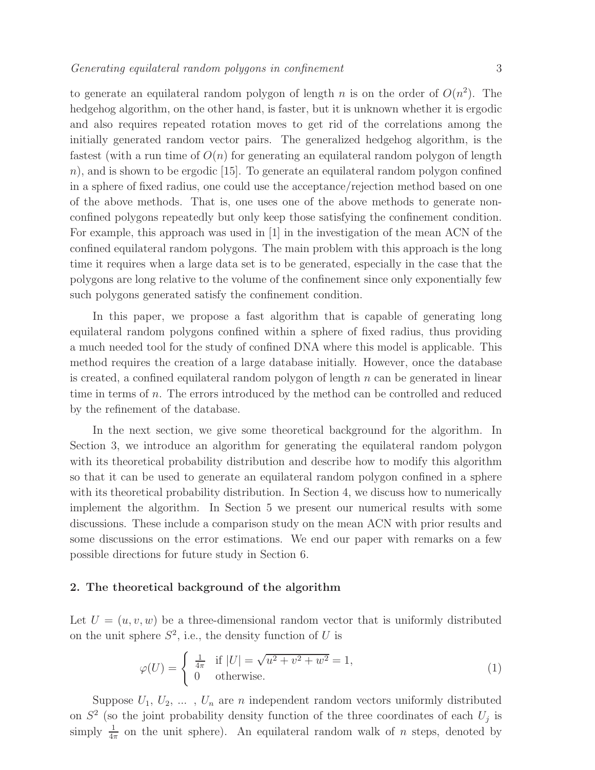to generate an equilateral random polygon of length n is on the order of  $O(n^2)$ . The hedgehog algorithm, on the other hand, is faster, but it is unknown whether it is ergodic and also requires repeated rotation moves to get rid of the correlations among the initially generated random vector pairs. The generalized hedgehog algorithm, is the fastest (with a run time of  $O(n)$  for generating an equilateral random polygon of length  $n$ , and is shown to be ergodic [15]. To generate an equilateral random polygon confined in a sphere of fixed radius, one could use the acceptance/rejection method based on one of the above methods. That is, one uses one of the above methods to generate nonconfined polygons repeatedly but only keep those satisfying the confinement condition. For example, this approach was used in [1] in the investigation of the mean ACN of the confined equilateral random polygons. The main problem with this approach is the long time it requires when a large data set is to be generated, especially in the case that the polygons are long relative to the volume of the confinement since only exponentially few such polygons generated satisfy the confinement condition.

In this paper, we propose a fast algorithm that is capable of generating long equilateral random polygons confined within a sphere of fixed radius, thus providing a much needed tool for the study of confined DNA where this model is applicable. This method requires the creation of a large database initially. However, once the database is created, a confined equilateral random polygon of length  $n$  can be generated in linear time in terms of n. The errors introduced by the method can be controlled and reduced by the refinement of the database.

In the next section, we give some theoretical background for the algorithm. In Section 3, we introduce an algorithm for generating the equilateral random polygon with its theoretical probability distribution and describe how to modify this algorithm so that it can be used to generate an equilateral random polygon confined in a sphere with its theoretical probability distribution. In Section 4, we discuss how to numerically implement the algorithm. In Section 5 we present our numerical results with some discussions. These include a comparison study on the mean ACN with prior results and some discussions on the error estimations. We end our paper with remarks on a few possible directions for future study in Section 6.

## 2. The theoretical background of the algorithm

Let  $U = (u, v, w)$  be a three-dimensional random vector that is uniformly distributed on the unit sphere  $S^2$ , i.e., the density function of U is

$$
\varphi(U) = \begin{cases} \frac{1}{4\pi} & \text{if } |U| = \sqrt{u^2 + v^2 + w^2} = 1, \\ 0 & \text{otherwise.} \end{cases}
$$
\n(1)

Suppose  $U_1, U_2, \ldots, U_n$  are n independent random vectors uniformly distributed on  $S^2$  (so the joint probability density function of the three coordinates of each  $U_j$  is simply  $\frac{1}{4\pi}$  on the unit sphere). An equilateral random walk of *n* steps, denoted by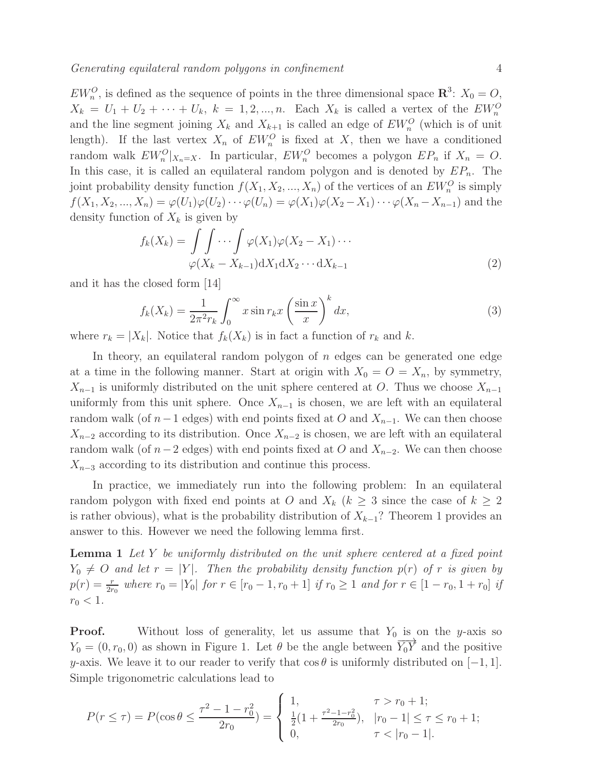$EW_n^O$ , is defined as the sequence of points in the three dimensional space  $\mathbb{R}^3$ :  $X_0 = O$ ,  $X_k = U_1 + U_2 + \cdots + U_k$ ,  $k = 1, 2, ..., n$ . Each  $X_k$  is called a vertex of the  $EW_n^O$ and the line segment joining  $X_k$  and  $X_{k+1}$  is called an edge of  $EW_n^O$  (which is of unit length). If the last vertex  $X_n$  of  $EW_n^O$  is fixed at X, then we have a conditioned random walk  $EW_n^O|_{X_n=X}$ . In particular,  $EW_n^O$  becomes a polygon  $EP_n$  if  $X_n = O$ . In this case, it is called an equilateral random polygon and is denoted by  $EP_n$ . The joint probability density function  $f(X_1, X_2, ..., X_n)$  of the vertices of an  $EW_n^O$  is simply  $f(X_1, X_2, ..., X_n) = \varphi(U_1)\varphi(U_2)\cdots\varphi(U_n) = \varphi(X_1)\varphi(X_2 - X_1)\cdots\varphi(X_n - X_{n-1})$  and the density function of  $X_k$  is given by

$$
f_k(X_k) = \int \int \cdots \int \varphi(X_1)\varphi(X_2 - X_1) \cdots
$$

$$
\varphi(X_k - X_{k-1}) \mathrm{d}X_1 \mathrm{d}X_2 \cdots \mathrm{d}X_{k-1}
$$
\n(2)

and it has the closed form [14]

$$
f_k(X_k) = \frac{1}{2\pi^2 r_k} \int_0^\infty x \sin r_k x \left(\frac{\sin x}{x}\right)^k dx,
$$
\n(3)

where  $r_k = |X_k|$ . Notice that  $f_k(X_k)$  is in fact a function of  $r_k$  and k.

In theory, an equilateral random polygon of  $n$  edges can be generated one edge at a time in the following manner. Start at origin with  $X_0 = O = X_n$ , by symmetry,  $X_{n-1}$  is uniformly distributed on the unit sphere centered at O. Thus we choose  $X_{n-1}$ uniformly from this unit sphere. Once  $X_{n-1}$  is chosen, we are left with an equilateral random walk (of  $n-1$  edges) with end points fixed at O and  $X_{n-1}$ . We can then choose  $X_{n-2}$  according to its distribution. Once  $X_{n-2}$  is chosen, we are left with an equilateral random walk (of  $n-2$  edges) with end points fixed at O and  $X_{n-2}$ . We can then choose  $X_{n-3}$  according to its distribution and continue this process.

In practice, we immediately run into the following problem: In an equilateral random polygon with fixed end points at O and  $X_k$  ( $k \geq 3$  since the case of  $k \geq 2$ is rather obvious), what is the probability distribution of  $X_{k-1}$ ? Theorem 1 provides an answer to this. However we need the following lemma first.

Lemma 1 *Let* Y *be uniformly distributed on the unit sphere centered at a fixed point*  $Y_0 \neq O$  *and let*  $r = |Y|$ *. Then the probability density function*  $p(r)$  *of*  $r$  *is given by*  $p(r) = \frac{r}{2r_0}$  where  $r_0 = |Y_0|$  for  $r \in [r_0 - 1, r_0 + 1]$  if  $r_0 \ge 1$  and for  $r \in [1 - r_0, 1 + r_0]$  if  $r_0 < 1$ .

**Proof.** Without loss of generality, let us assume that  $Y_0$  is on the y-axis so  $Y_0 = (0, r_0, 0)$  as shown in Figure 1. Let  $\theta$  be the angle between  $\overrightarrow{Y_0 Y}$  and the positive y-axis. We leave it to our reader to verify that  $\cos \theta$  is uniformly distributed on [−1, 1]. Simple trigonometric calculations lead to

$$
P(r \le \tau) = P(\cos \theta \le \frac{\tau^2 - 1 - r_0^2}{2r_0}) = \begin{cases} 1, & \tau > r_0 + 1; \\ \frac{1}{2}(1 + \frac{\tau^2 - 1 - r_0^2}{2r_0}), & |r_0 - 1| \le \tau \le r_0 + 1; \\ 0, & \tau < |r_0 - 1|. \end{cases}
$$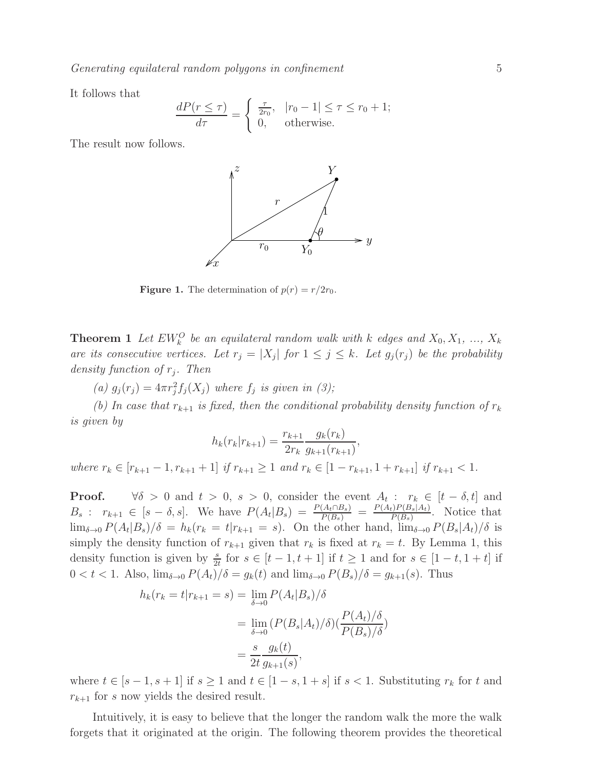*Generating equilateral random polygons in confinement* 5

It follows that

$$
\frac{dP(r \le \tau)}{d\tau} = \begin{cases} \frac{\tau}{2r_0}, & |r_0 - 1| \le \tau \le r_0 + 1; \\ 0, & \text{otherwise.} \end{cases}
$$

The result now follows.



**Figure 1.** The determination of  $p(r) = r/2r_0$ .

**Theorem 1** Let  $EW_k^O$  be an equilateral random walk with k edges and  $X_0, X_1, ..., X_k$ *are its consecutive vertices. Let*  $r_j = |X_j|$  *for*  $1 \leq j \leq k$ *. Let*  $g_j(r_j)$  *be the probability density function of* r<sup>j</sup> *. Then*

(a)  $g_j(r_j) = 4\pi r_j^2 f_j(X_j)$  where  $f_j$  is given in (3);

*(b)* In case that  $r_{k+1}$  is fixed, then the conditional probability density function of  $r_k$ *is given by*

$$
h_k(r_k|r_{k+1}) = \frac{r_{k+1}}{2r_k} \frac{g_k(r_k)}{g_{k+1}(r_{k+1})}
$$

,

*where*  $r_k \in [r_{k+1} - 1, r_{k+1} + 1]$  *if*  $r_{k+1} \ge 1$  *and*  $r_k \in [1 - r_{k+1}, 1 + r_{k+1}]$  *if*  $r_{k+1} < 1$ *.* 

**Proof.**  $\forall \delta > 0$  and  $t > 0$ ,  $s > 0$ , consider the event  $A_t : r_k \in [t - \delta, t]$  and  $B_s: r_{k+1} \in [s-\delta, s]$ . We have  $P(A_t|B_s) = \frac{P(A_t \cap B_s)}{P(B_s)} = \frac{P(A_t)P(B_s|A_t)}{P(B_s)}$  $\frac{P(B_s|A_t)}{P(B_s)}$ . Notice that  $\lim_{\delta \to 0} P(A_t|B_s)/\delta = h_k(r_k = t|r_{k+1} = s)$ . On the other hand,  $\lim_{\delta \to 0} P(B_s|A_t)/\delta$  is simply the density function of  $r_{k+1}$  given that  $r_k$  is fixed at  $r_k = t$ . By Lemma 1, this density function is given by  $\frac{s}{2t}$  for  $s \in [t-1, t+1]$  if  $t \ge 1$  and for  $s \in [1-t, 1+t]$  if  $0 < t < 1$ . Also,  $\lim_{\delta \to 0} P(A_t)/\delta = g_k(t)$  and  $\lim_{\delta \to 0} P(B_s)/\delta = g_{k+1}(s)$ . Thus

$$
h_k(r_k = t | r_{k+1} = s) = \lim_{\delta \to 0} P(A_t | B_s) / \delta
$$
  
= 
$$
\lim_{\delta \to 0} (P(B_s | A_t) / \delta) (\frac{P(A_t) / \delta}{P(B_s) / \delta})
$$
  
= 
$$
\frac{s}{2t} \frac{g_k(t)}{g_{k+1}(s)},
$$

where  $t \in [s-1, s+1]$  if  $s \ge 1$  and  $t \in [1-s, 1+s]$  if  $s < 1$ . Substituting  $r_k$  for t and  $r_{k+1}$  for s now yields the desired result.

Intuitively, it is easy to believe that the longer the random walk the more the walk forgets that it originated at the origin. The following theorem provides the theoretical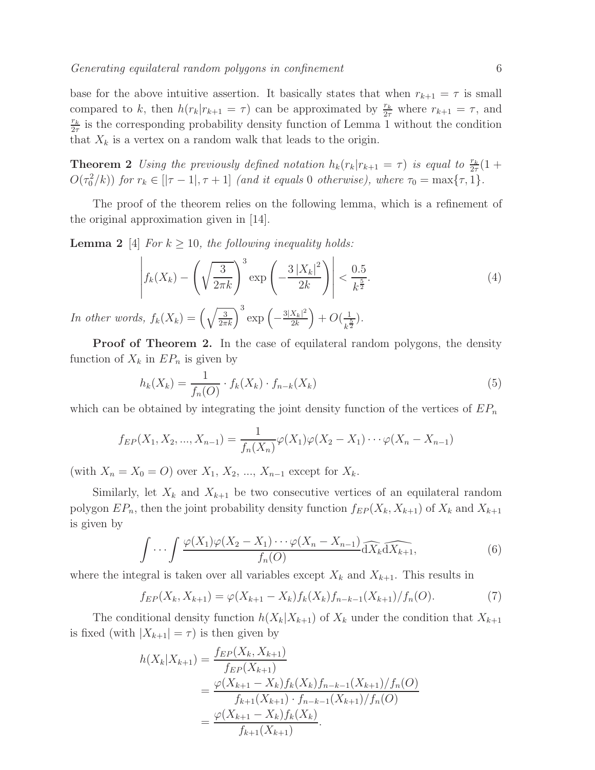base for the above intuitive assertion. It basically states that when  $r_{k+1} = \tau$  is small compared to k, then  $h(r_k|r_{k+1} = \tau)$  can be approximated by  $\frac{r_k}{2\tau}$  where  $r_{k+1} = \tau$ , and  $r_k$  $\frac{r_k}{2\tau}$  is the corresponding probability density function of Lemma 1 without the condition that  $X_k$  is a vertex on a random walk that leads to the origin.

**Theorem 2** Using the previously defined notation  $h_k(r_k|r_{k+1} = \tau)$  is equal to  $\frac{r_k}{2\tau}(1 +$  $O(\tau_0^2/k)$  *for*  $r_k \in [|\tau - 1|, \tau + 1]$  *(and it equals* 0 *otherwise), where*  $\tau_0 = \max{\tau, 1}$ *.* 

The proof of the theorem relies on the following lemma, which is a refinement of the original approximation given in [14].

**Lemma 2** [4] *For*  $k \geq 10$ *, the following inequality holds:* 

$$
\left| f_k(X_k) - \left( \sqrt{\frac{3}{2\pi k}} \right)^3 \exp\left( -\frac{3\left| X_k \right|^2}{2k} \right) \right| < \frac{0.5}{k^{\frac{5}{2}}}.\tag{4}
$$

*In other words,*  $f_k(X_k) = \left(\sqrt{\frac{3}{2\pi k}}\right)^3 \exp\left(-\frac{3|X_k|^2}{2k}\right)$  $2k$  $+ O(\frac{1}{11})$  $(\frac{1}{k^{\frac{5}{2}}})$ .

Proof of Theorem 2. In the case of equilateral random polygons, the density function of  $X_k$  in  $EP_n$  is given by

$$
h_k(X_k) = \frac{1}{f_n(O)} \cdot f_k(X_k) \cdot f_{n-k}(X_k)
$$
\n(5)

which can be obtained by integrating the joint density function of the vertices of  $EP_n$ 

$$
f_{EP}(X_1, X_2, ..., X_{n-1}) = \frac{1}{f_n(X_n)} \varphi(X_1) \varphi(X_2 - X_1) \cdots \varphi(X_n - X_{n-1})
$$

(with  $X_n = X_0 = O$ ) over  $X_1, X_2, ..., X_{n-1}$  except for  $X_k$ .

Similarly, let  $X_k$  and  $X_{k+1}$  be two consecutive vertices of an equilateral random polygon  $EP_n$ , then the joint probability density function  $f_{EP}(X_k, X_{k+1})$  of  $X_k$  and  $X_{k+1}$ is given by

$$
\int \cdots \int \frac{\varphi(X_1)\varphi(X_2 - X_1)\cdots\varphi(X_n - X_{n-1})}{f_n(O)}\widehat{\mathrm{d}X_k}\widehat{\mathrm{d}X_{k+1}},\tag{6}
$$

where the integral is taken over all variables except  $X_k$  and  $X_{k+1}$ . This results in

$$
f_{EP}(X_k, X_{k+1}) = \varphi(X_{k+1} - X_k) f_k(X_k) f_{n-k-1}(X_{k+1}) / f_n(O).
$$
 (7)

The conditional density function  $h(X_k|X_{k+1})$  of  $X_k$  under the condition that  $X_{k+1}$ is fixed (with  $|X_{k+1}| = \tau$ ) is then given by

$$
h(X_k|X_{k+1}) = \frac{f_{EP}(X_k, X_{k+1})}{f_{EP}(X_{k+1})}
$$
  
= 
$$
\frac{\varphi(X_{k+1} - X_k)f_k(X_k)f_{n-k-1}(X_{k+1})/f_n(O)}{f_{k+1}(X_{k+1}) \cdot f_{n-k-1}(X_{k+1})/f_n(O)}
$$
  
= 
$$
\frac{\varphi(X_{k+1} - X_k)f_k(X_k)}{f_{k+1}(X_{k+1})}.
$$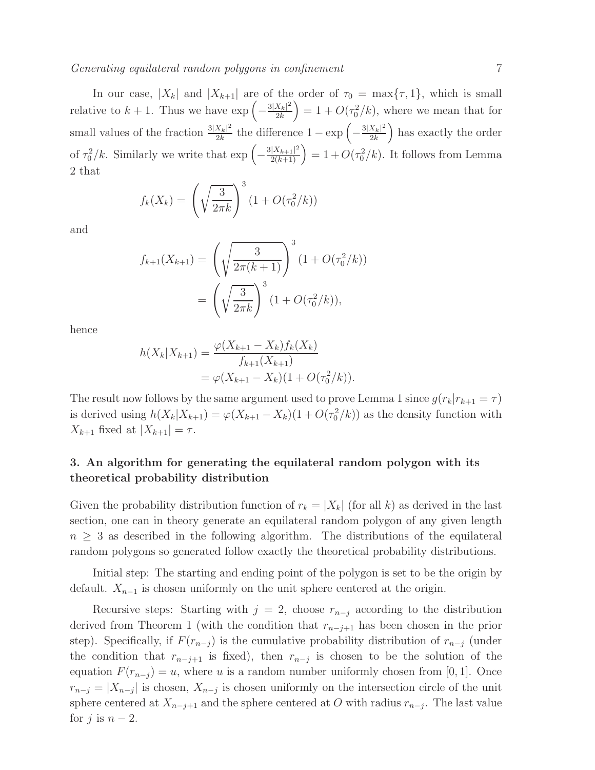In our case,  $|X_k|$  and  $|X_{k+1}|$  are of the order of  $\tau_0 = \max{\lbrace \tau, 1 \rbrace}$ , which is small relative to  $k + 1$ . Thus we have  $\exp\left(-\frac{3|X_k|^2}{2k}\right)$  $2k$  $= 1 + O(\tau_0^2/k)$ , where we mean that for small values of the fraction  $\frac{3|X_k|^2}{2k}$  $\frac{X_k|^2}{2k}$  the difference 1 − exp  $\left(-\frac{3|X_k|^2}{2k}\right)$  $2k$ ) has exactly the order of  $\tau_0^2/k$ . Similarly we write that  $\exp\left(-\frac{3|X_{k+1}|^2}{2(k+1)}\right) = 1 + O(\tau_0^2/k)$ . It follows from Lemma 2 that

$$
f_k(X_k) = \left(\sqrt{\frac{3}{2\pi k}}\right)^3 (1 + O(\tau_0^2/k))
$$

and

$$
f_{k+1}(X_{k+1}) = \left(\sqrt{\frac{3}{2\pi(k+1)}}\right)^3 (1 + O(\tau_0^2/k))
$$
  
=  $\left(\sqrt{\frac{3}{2\pi k}}\right)^3 (1 + O(\tau_0^2/k)),$ 

hence

$$
h(X_k|X_{k+1}) = \frac{\varphi(X_{k+1} - X_k)f_k(X_k)}{f_{k+1}(X_{k+1})}
$$
  
=  $\varphi(X_{k+1} - X_k)(1 + O(\tau_0^2/k)).$ 

The result now follows by the same argument used to prove Lemma 1 since  $g(r_k|r_{k+1} = \tau)$ is derived using  $h(X_k|X_{k+1}) = \varphi(X_{k+1} - X_k)(1 + O(\tau_0^2/k))$  as the density function with  $X_{k+1}$  fixed at  $|X_{k+1}| = \tau$ .

# 3. An algorithm for generating the equilateral random polygon with its theoretical probability distribution

Given the probability distribution function of  $r_k = |X_k|$  (for all k) as derived in the last section, one can in theory generate an equilateral random polygon of any given length  $n > 3$  as described in the following algorithm. The distributions of the equilateral random polygons so generated follow exactly the theoretical probability distributions.

Initial step: The starting and ending point of the polygon is set to be the origin by default.  $X_{n-1}$  is chosen uniformly on the unit sphere centered at the origin.

Recursive steps: Starting with  $j = 2$ , choose  $r_{n-j}$  according to the distribution derived from Theorem 1 (with the condition that  $r_{n-j+1}$  has been chosen in the prior step). Specifically, if  $F(r_{n-j})$  is the cumulative probability distribution of  $r_{n-j}$  (under the condition that  $r_{n-j+1}$  is fixed), then  $r_{n-j}$  is chosen to be the solution of the equation  $F(r_{n-j}) = u$ , where u is a random number uniformly chosen from [0, 1]. Once  $r_{n-j} = |X_{n-j}|$  is chosen,  $X_{n-j}$  is chosen uniformly on the intersection circle of the unit sphere centered at  $X_{n-j+1}$  and the sphere centered at O with radius  $r_{n-j}$ . The last value for j is  $n-2$ .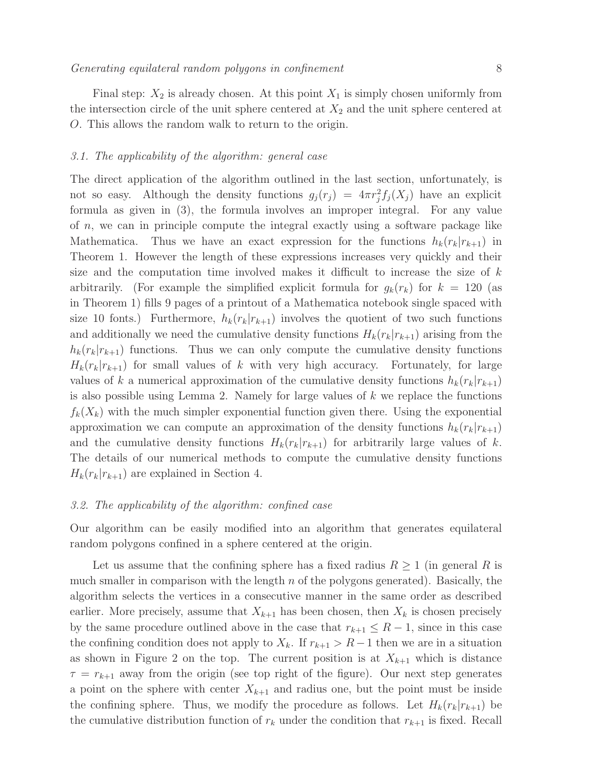Final step:  $X_2$  is already chosen. At this point  $X_1$  is simply chosen uniformly from the intersection circle of the unit sphere centered at  $X_2$  and the unit sphere centered at O. This allows the random walk to return to the origin.

#### *3.1. The applicability of the algorithm: general case*

The direct application of the algorithm outlined in the last section, unfortunately, is not so easy. Although the density functions  $g_j(r_j) = 4\pi r_j^2 f_j(X_j)$  have an explicit formula as given in (3), the formula involves an improper integral. For any value of n, we can in principle compute the integral exactly using a software package like Mathematica. Thus we have an exact expression for the functions  $h_k(r_k|r_{k+1})$  in Theorem 1. However the length of these expressions increases very quickly and their size and the computation time involved makes it difficult to increase the size of  $k$ arbitrarily. (For example the simplified explicit formula for  $g_k(r_k)$  for  $k = 120$  (as in Theorem 1) fills 9 pages of a printout of a Mathematica notebook single spaced with size 10 fonts.) Furthermore,  $h_k(r_k|r_{k+1})$  involves the quotient of two such functions and additionally we need the cumulative density functions  $H_k(r_k|r_{k+1})$  arising from the  $h_k(r_k|r_{k+1})$  functions. Thus we can only compute the cumulative density functions  $H_k(r_k|r_{k+1})$  for small values of k with very high accuracy. Fortunately, for large values of k a numerical approximation of the cumulative density functions  $h_k(r_k|r_{k+1})$ is also possible using Lemma 2. Namely for large values of  $k$  we replace the functions  $f_k(X_k)$  with the much simpler exponential function given there. Using the exponential approximation we can compute an approximation of the density functions  $h_k(r_k|r_{k+1})$ and the cumulative density functions  $H_k(r_k|r_{k+1})$  for arbitrarily large values of k. The details of our numerical methods to compute the cumulative density functions  $H_k(r_k|r_{k+1})$  are explained in Section 4.

#### *3.2. The applicability of the algorithm: confined case*

Our algorithm can be easily modified into an algorithm that generates equilateral random polygons confined in a sphere centered at the origin.

Let us assume that the confining sphere has a fixed radius  $R \geq 1$  (in general R is much smaller in comparison with the length  $n$  of the polygons generated). Basically, the algorithm selects the vertices in a consecutive manner in the same order as described earlier. More precisely, assume that  $X_{k+1}$  has been chosen, then  $X_k$  is chosen precisely by the same procedure outlined above in the case that  $r_{k+1} \leq R-1$ , since in this case the confining condition does not apply to  $X_k$ . If  $r_{k+1} > R-1$  then we are in a situation as shown in Figure 2 on the top. The current position is at  $X_{k+1}$  which is distance  $\tau = r_{k+1}$  away from the origin (see top right of the figure). Our next step generates a point on the sphere with center  $X_{k+1}$  and radius one, but the point must be inside the confining sphere. Thus, we modify the procedure as follows. Let  $H_k(r_k|r_{k+1})$  be the cumulative distribution function of  $r_k$  under the condition that  $r_{k+1}$  is fixed. Recall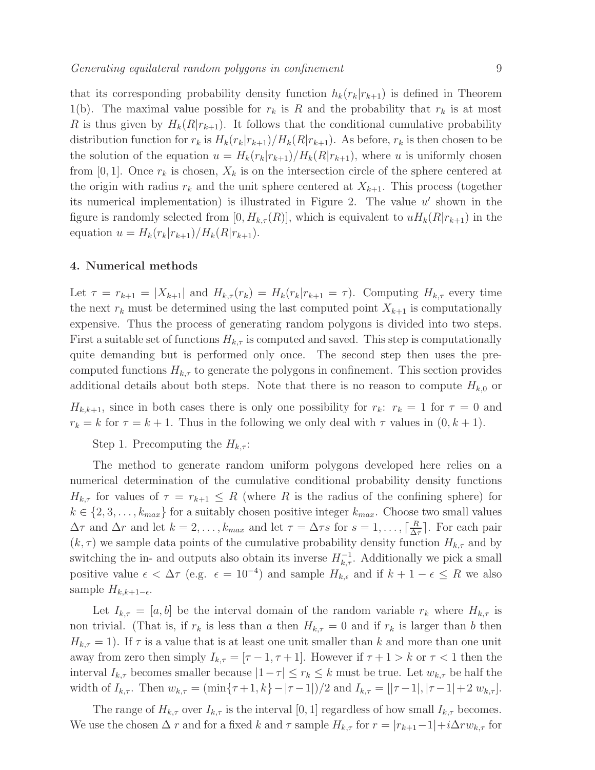that its corresponding probability density function  $h_k(r_k|r_{k+1})$  is defined in Theorem 1(b). The maximal value possible for  $r_k$  is R and the probability that  $r_k$  is at most R is thus given by  $H_k(R|r_{k+1})$ . It follows that the conditional cumulative probability distribution function for  $r_k$  is  $H_k(r_k|r_{k+1})/H_k(R|r_{k+1})$ . As before,  $r_k$  is then chosen to be the solution of the equation  $u = H_k(r_k|r_{k+1})/H_k(R|r_{k+1})$ , where u is uniformly chosen from [0, 1]. Once  $r_k$  is chosen,  $X_k$  is on the intersection circle of the sphere centered at the origin with radius  $r_k$  and the unit sphere centered at  $X_{k+1}$ . This process (together its numerical implementation) is illustrated in Figure 2. The value  $u'$  shown in the figure is randomly selected from  $[0, H_{k,\tau}(R)]$ , which is equivalent to  $uH_k(R|r_{k+1})$  in the equation  $u = H_k(r_k|r_{k+1})/H_k(R|r_{k+1}).$ 

# 4. Numerical methods

Let  $\tau = r_{k+1} = |X_{k+1}|$  and  $H_{k,\tau}(r_k) = H_k(r_k|r_{k+1} = \tau)$ . Computing  $H_{k,\tau}$  every time the next  $r_k$  must be determined using the last computed point  $X_{k+1}$  is computationally expensive. Thus the process of generating random polygons is divided into two steps. First a suitable set of functions  $H_{k,\tau}$  is computed and saved. This step is computationally quite demanding but is performed only once. The second step then uses the precomputed functions  $H_{k,\tau}$  to generate the polygons in confinement. This section provides additional details about both steps. Note that there is no reason to compute  $H_{k,0}$  or

 $H_{k,k+1}$ , since in both cases there is only one possibility for  $r_k$ :  $r_k = 1$  for  $\tau = 0$  and  $r_k = k$  for  $\tau = k + 1$ . Thus in the following we only deal with  $\tau$  values in  $(0, k + 1)$ .

Step 1. Precomputing the  $H_{k,\tau}$ :

The method to generate random uniform polygons developed here relies on a numerical determination of the cumulative conditional probability density functions  $H_{k,\tau}$  for values of  $\tau = r_{k+1} \leq R$  (where R is the radius of the confining sphere) for  $k \in \{2, 3, \ldots, k_{max}\}\$ for a suitably chosen positive integer  $k_{max}$ . Choose two small values  $\Delta \tau$  and  $\Delta r$  and let  $k = 2, \ldots, k_{max}$  and let  $\tau = \Delta \tau s$  for  $s = 1, \ldots, \lceil \frac{R}{\Delta s} \rceil$  $\frac{R}{\Delta \tau}$ . For each pair  $(k, \tau)$  we sample data points of the cumulative probability density function  $H_{k,\tau}$  and by switching the in- and outputs also obtain its inverse  $H_{k,\tau}^{-1}$ . Additionally we pick a small positive value  $\epsilon < \Delta \tau$  (e.g.  $\epsilon = 10^{-4}$ ) and sample  $H_{k,\epsilon}$  and if  $k+1-\epsilon \leq R$  we also sample  $H_{k,k+1-\epsilon}$ .

Let  $I_{k,\tau} = [a, b]$  be the interval domain of the random variable  $r_k$  where  $H_{k,\tau}$  is non trivial. (That is, if  $r_k$  is less than a then  $H_{k,\tau} = 0$  and if  $r_k$  is larger than b then  $H_{k,\tau} = 1$ ). If  $\tau$  is a value that is at least one unit smaller than k and more than one unit away from zero then simply  $I_{k,\tau} = [\tau-1, \tau+1]$ . However if  $\tau+1 > k$  or  $\tau < 1$  then the interval  $I_{k,\tau}$  becomes smaller because  $|1-\tau| \leq r_k \leq k$  must be true. Let  $w_{k,\tau}$  be half the width of  $I_{k,\tau}$ . Then  $w_{k,\tau} = (\min\{\tau+1,k\}-|\tau-1|)/2$  and  $I_{k,\tau} = [|\tau-1|,|\tau-1|+2 w_{k,\tau}]$ .

The range of  $H_{k,\tau}$  over  $I_{k,\tau}$  is the interval [0, 1] regardless of how small  $I_{k,\tau}$  becomes. We use the chosen  $\Delta r$  and for a fixed k and  $\tau$  sample  $H_{k,\tau}$  for  $r = |r_{k+1}-1| + i\Delta rw_{k,\tau}$  for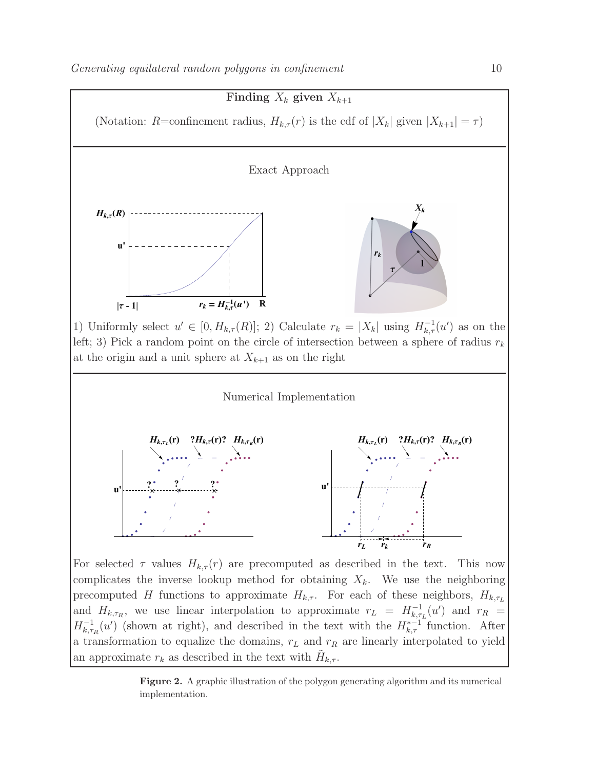

complicates the inverse lookup method for obtaining  $X_k$ . We use the neighboring precomputed H functions to approximate  $H_{k,\tau}$ . For each of these neighbors,  $H_{k,\tau_L}$ and  $H_{k,\tau_R}$ , we use linear interpolation to approximate  $r_L = H_{k,\tau}^{-1}$  $\sum_{k,\tau_L}^{-1}(u')$  and  $r_R =$  $H_{k,\tau}^{-1}$  $\kappa_{k,\tau_R}^{-1}(u')$  (shown at right), and described in the text with the  $H_{k,\tau}^{*-1}$  function. After a transformation to equalize the domains,  $r<sub>L</sub>$  and  $r<sub>R</sub>$  are linearly interpolated to yield an approximate  $r_k$  as described in the text with  $\tilde{H}_{k,\tau}$ .

Figure 2. A graphic illustration of the polygon generating algorithm and its numerical implementation.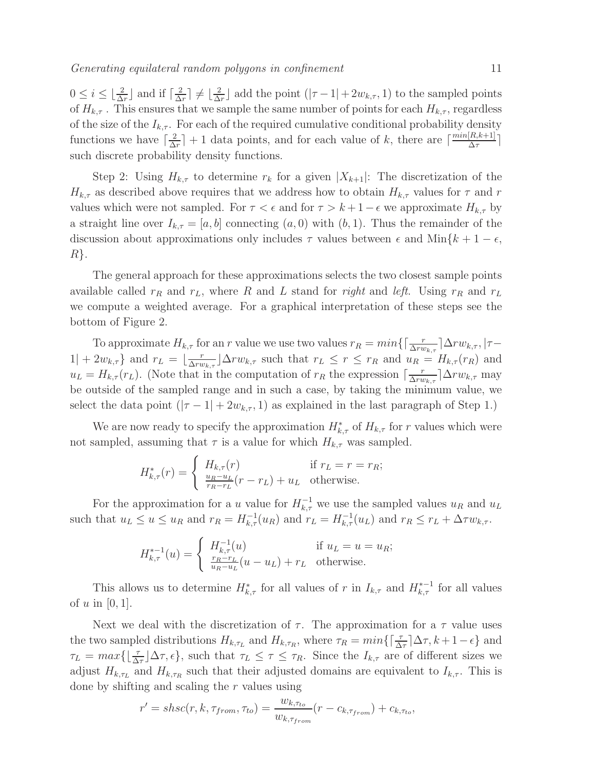$0 \leq i \leq \lfloor \frac{2}{\Delta r} \rfloor$  and if  $\lceil \frac{2}{\Delta r} \rceil$  $\frac{2}{\Delta r}$ ]  $\neq \lfloor \frac{2}{\Delta r} \rfloor$  $\frac{2}{\Delta r}$  add the point  $(|\tau - 1| + 2w_{k,\tau}, 1)$  to the sampled points of  $H_{k,\tau}$ . This ensures that we sample the same number of points for each  $H_{k,\tau}$ , regardless of the size of the  $I_{k,\tau}$ . For each of the required cumulative conditional probability density functions we have  $\lceil \frac{2}{\Delta} \rceil$  $\frac{2}{\Delta r}$  + 1 data points, and for each value of k, there are  $\lceil \frac{min[R, k+1]}{\Delta \tau} \rceil$  $\frac{\Delta \tau}{\Delta \tau}$ such discrete probability density functions.

Step 2: Using  $H_{k,\tau}$  to determine  $r_k$  for a given  $|X_{k+1}|$ : The discretization of the  $H_{k,\tau}$  as described above requires that we address how to obtain  $H_{k,\tau}$  values for  $\tau$  and r values which were not sampled. For  $\tau < \epsilon$  and for  $\tau > k+1-\epsilon$  we approximate  $H_{k,\tau}$  by a straight line over  $I_{k,\tau} = [a, b]$  connecting  $(a, 0)$  with  $(b, 1)$ . Thus the remainder of the discussion about approximations only includes  $\tau$  values between  $\epsilon$  and Min{ $k + 1 - \epsilon$ ,  $R$ .

The general approach for these approximations selects the two closest sample points available called  $r_R$  and  $r_L$ , where R and L stand for *right* and *left*. Using  $r_R$  and  $r_L$ we compute a weighted average. For a graphical interpretation of these steps see the bottom of Figure 2.

To approximate  $H_{k,\tau}$  for an r value we use two values  $r_R = min\{\lceil \frac{r}{\Delta r w_{k,\tau}} \rceil \Delta r w_{k,\tau}, | \tau 1| + 2w_{k,\tau}\}\$  and  $r_L = \lfloor \frac{r}{\Delta ru} \rfloor$  $\frac{r}{\Delta rw_{k,\tau}}\Delta rw_{k,\tau}$  such that  $r_L \leq r \leq r_R$  and  $u_R = H_{k,\tau}(r_R)$  and  $u_L = H_{k,\tau}(r_L)$ . (Note that in the computation of  $r_R$  the expression  $\lceil \frac{r}{\Delta r u} \rceil$  $\frac{r}{\Delta r w_{k,\tau}}$  |  $\Delta r w_{k,\tau}$  may be outside of the sampled range and in such a case, by taking the minimum value, we select the data point  $(|\tau - 1| + 2w_{k,\tau}, 1)$  as explained in the last paragraph of Step 1.)

We are now ready to specify the approximation  $H_{k,\tau}^*$  of  $H_{k,\tau}$  for r values which were not sampled, assuming that  $\tau$  is a value for which  $H_{k,\tau}$  was sampled.

$$
H_{k,\tau}^*(r) = \begin{cases} H_{k,\tau}(r) & \text{if } r_L = r = r_R; \\ \frac{u_R - u_L}{r_R - r_L}(r - r_L) + u_L & \text{otherwise.} \end{cases}
$$

For the approximation for a u value for  $H_{k,\tau}^{-1}$  we use the sampled values  $u_R$  and  $u_L$ such that  $u_L \le u \le u_R$  and  $r_R = H_{k,\tau}^{-1}(u_R)$  and  $r_L = H_{k,\tau}^{-1}(u_L)$  and  $r_R \le r_L + \Delta \tau w_{k,\tau}$ .

$$
H_{k,\tau}^{*-1}(u) = \begin{cases} H_{k,\tau}^{-1}(u) & \text{if } u_L = u = u_R; \\ \frac{r_R - r_L}{u_R - u_L}(u - u_L) + r_L & \text{otherwise.} \end{cases}
$$

This allows us to determine  $H_{k,\tau}^*$  for all values of r in  $I_{k,\tau}$  and  $H_{k,\tau}^{*-1}$  for all values of  $u$  in  $[0, 1]$ .

Next we deal with the discretization of  $\tau$ . The approximation for a  $\tau$  value uses the two sampled distributions  $H_{k,\tau_L}$  and  $H_{k,\tau_R}$ , where  $\tau_R = min\{\lceil \frac{\tau}{\Delta \tau} \rceil \Delta \tau, k+1-\epsilon\}$  and  $\tau_L = \max\{\lfloor \frac{\tau}{\Delta \tau} \rfloor \Delta \tau, \epsilon\}$ , such that  $\tau_L \leq \tau \leq \tau_R$ . Since the  $I_{k,\tau}$  are of different sizes we adjust  $H_{k,\tau_L}$  and  $H_{k,\tau_R}$  such that their adjusted domains are equivalent to  $I_{k,\tau}$ . This is done by shifting and scaling the r values using

$$
r' = shsc(r, k, \tau_{from}, \tau_{to}) = \frac{w_{k, \tau_{to}}}{w_{k, \tau_{from}}}(r - c_{k, \tau_{from}}) + c_{k, \tau_{to}},
$$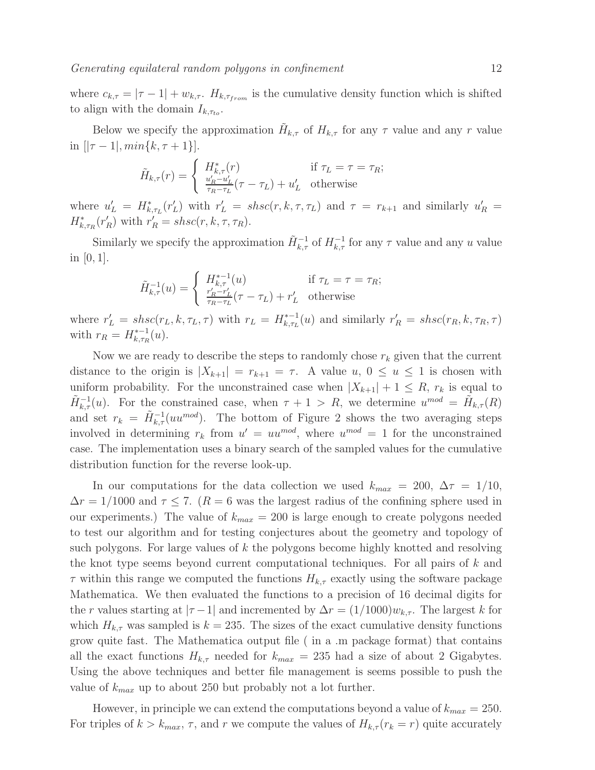where  $c_{k,\tau} = |\tau - 1| + w_{k,\tau}$ .  $H_{k,\tau_{from}}$  is the cumulative density function which is shifted to align with the domain  $I_{k,\tau_{to}}$ .

Below we specify the approximation  $\tilde{H}_{k,\tau}$  of  $H_{k,\tau}$  for any  $\tau$  value and any r value in  $[|\tau - 1|, min\{k, \tau + 1\}]$ .

$$
\tilde{H}_{k,\tau}(r) = \begin{cases}\nH_{k,\tau}^*(r) & \text{if } \tau_L = \tau = \tau_R; \\
\frac{u'_R - u'_L}{\tau_R - \tau_L}(\tau - \tau_L) + u'_L & \text{otherwise}\n\end{cases}
$$

where  $u'_L = H^*_{k, \tau_L}(r'_L)$  with  $r'_L = shsc(r, k, \tau, \tau_L)$  and  $\tau = r_{k+1}$  and similarly  $u'_R =$  $H_{k,\tau_R}^*(r_R')$  with  $r_R' = shsc(r, k, \tau, \tau_R)$ .

Similarly we specify the approximation  $\tilde{H}_{k,\tau}^{-1}$  of  $H_{k,\tau}^{-1}$  for any  $\tau$  value and any u value in  $[0, 1]$ .

$$
\tilde{H}_{k,\tau}^{-1}(u) = \begin{cases}\nH_{k,\tau}^{*-1}(u) & \text{if } \tau_L = \tau = \tau_R; \\
\frac{r'_R - r'_L}{\tau_R - \tau_L}(\tau - \tau_L) + r'_L & \text{otherwise}\n\end{cases}
$$

where  $r'_{L} = shsc(r_{L}, k, \tau_{L}, \tau)$  with  $r_{L} = H_{k, \tau_{L}}^{*-1}$  $\kappa_{k,\tau_L}^{*-1}(u)$  and similarly  $r'_R = shsc(r_R, k, \tau_R, \tau)$ with  $r_R = H_{k,\tau_R}^{*-1}$  $k, \tau_R(u)$ .

Now we are ready to describe the steps to randomly chose  $r_k$  given that the current distance to the origin is  $|X_{k+1}| = r_{k+1} = \tau$ . A value  $u, 0 \le u \le 1$  is chosen with uniform probability. For the unconstrained case when  $|X_{k+1}| + 1 \leq R$ ,  $r_k$  is equal to  $\tilde{H}^{-1}_{k,\tau}(u)$ . For the constrained case, when  $\tau + 1 > R$ , we determine  $u^{mod} = \tilde{H}_{k,\tau}(R)$ and set  $r_k = \tilde{H}_{k,\tau}^{-1}(uu^{mod})$ . The bottom of Figure 2 shows the two averaging steps involved in determining  $r_k$  from  $u' = uu^{mod}$ , where  $u^{mod} = 1$  for the unconstrained case. The implementation uses a binary search of the sampled values for the cumulative distribution function for the reverse look-up.

In our computations for the data collection we used  $k_{max} = 200, \Delta \tau = 1/10$ ,  $\Delta r = 1/1000$  and  $\tau \leq 7$ . ( $R = 6$  was the largest radius of the confining sphere used in our experiments.) The value of  $k_{max} = 200$  is large enough to create polygons needed to test our algorithm and for testing conjectures about the geometry and topology of such polygons. For large values of  $k$  the polygons become highly knotted and resolving the knot type seems beyond current computational techniques. For all pairs of k and  $\tau$  within this range we computed the functions  $H_{k,\tau}$  exactly using the software package Mathematica. We then evaluated the functions to a precision of 16 decimal digits for the r values starting at  $|\tau - 1|$  and incremented by  $\Delta r = (1/1000)w_{k,\tau}$ . The largest k for which  $H_{k,\tau}$  was sampled is  $k = 235$ . The sizes of the exact cumulative density functions grow quite fast. The Mathematica output file ( in a .m package format) that contains all the exact functions  $H_{k,\tau}$  needed for  $k_{max} = 235$  had a size of about 2 Gigabytes. Using the above techniques and better file management is seems possible to push the value of  $k_{max}$  up to about 250 but probably not a lot further.

However, in principle we can extend the computations beyond a value of  $k_{max} = 250$ . For triples of  $k > k_{max}$ ,  $\tau$ , and r we compute the values of  $H_{k,\tau}(r_k = r)$  quite accurately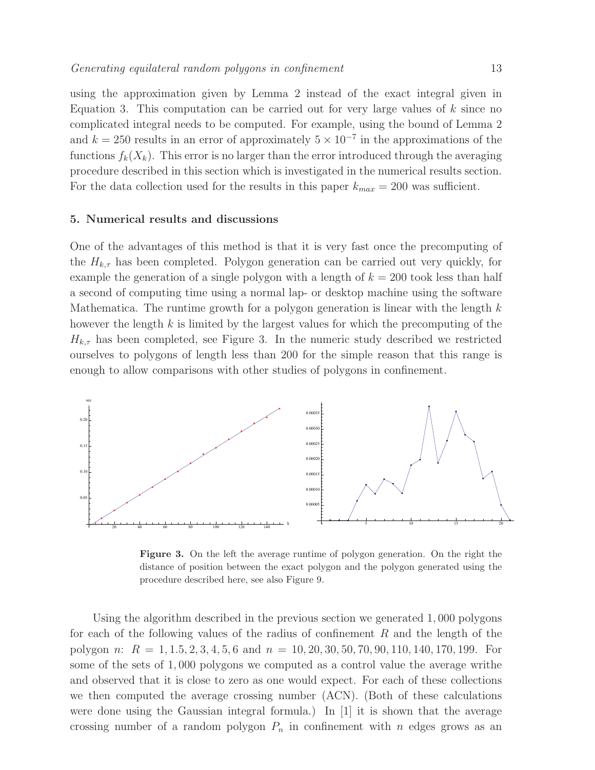using the approximation given by Lemma 2 instead of the exact integral given in Equation 3. This computation can be carried out for very large values of  $k$  since no complicated integral needs to be computed. For example, using the bound of Lemma 2 and  $k = 250$  results in an error of approximately  $5 \times 10^{-7}$  in the approximations of the functions  $f_k(X_k)$ . This error is no larger than the error introduced through the averaging procedure described in this section which is investigated in the numerical results section. For the data collection used for the results in this paper  $k_{max} = 200$  was sufficient.

#### 5. Numerical results and discussions

One of the advantages of this method is that it is very fast once the precomputing of the  $H_{k,\tau}$  has been completed. Polygon generation can be carried out very quickly, for example the generation of a single polygon with a length of  $k = 200$  took less than half a second of computing time using a normal lap- or desktop machine using the software Mathematica. The runtime growth for a polygon generation is linear with the length  $k$ however the length  $k$  is limited by the largest values for which the precomputing of the  $H_{k,\tau}$  has been completed, see Figure 3. In the numeric study described we restricted ourselves to polygons of length less than 200 for the simple reason that this range is enough to allow comparisons with other studies of polygons in confinement.



Figure 3. On the left the average runtime of polygon generation. On the right the distance of position between the exact polygon and the polygon generated using the procedure described here, see also Figure 9.

Using the algorithm described in the previous section we generated 1, 000 polygons for each of the following values of the radius of confinement R and the length of the polygon n:  $R = 1, 1.5, 2, 3, 4, 5, 6$  and  $n = 10, 20, 30, 50, 70, 90, 110, 140, 170, 199$ . For some of the sets of 1, 000 polygons we computed as a control value the average writhe and observed that it is close to zero as one would expect. For each of these collections we then computed the average crossing number (ACN). (Both of these calculations were done using the Gaussian integral formula.) In [1] it is shown that the average crossing number of a random polygon  $P_n$  in confinement with n edges grows as an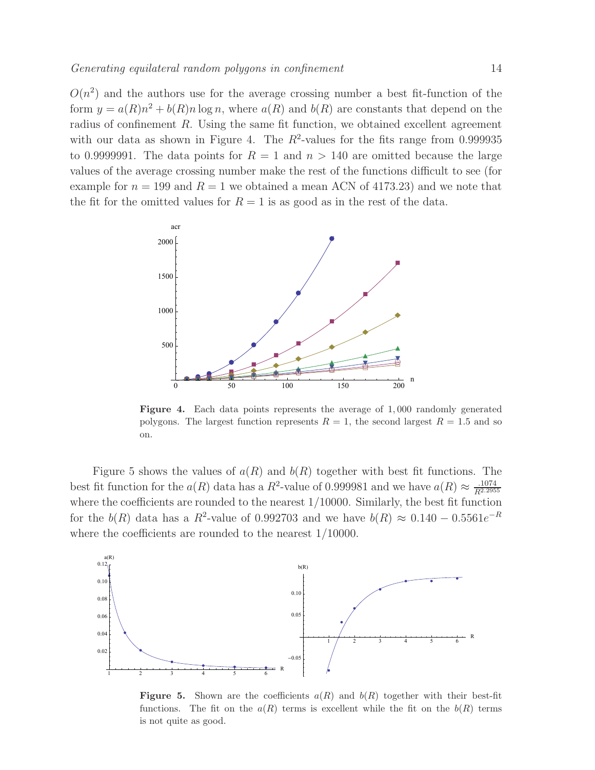$O(n^2)$  and the authors use for the average crossing number a best fit-function of the form  $y = a(R)n^2 + b(R)n \log n$ , where  $a(R)$  and  $b(R)$  are constants that depend on the radius of confinement  $R$ . Using the same fit function, we obtained excellent agreement with our data as shown in Figure 4. The  $R^2$ -values for the fits range from 0.999935 to 0.9999991. The data points for  $R = 1$  and  $n > 140$  are omitted because the large values of the average crossing number make the rest of the functions difficult to see (for example for  $n = 199$  and  $R = 1$  we obtained a mean ACN of 4173.23) and we note that the fit for the omitted values for  $R = 1$  is as good as in the rest of the data.



Figure 4. Each data points represents the average of 1, 000 randomly generated polygons. The largest function represents  $R = 1$ , the second largest  $R = 1.5$  and so on.

Figure 5 shows the values of  $a(R)$  and  $b(R)$  together with best fit functions. The best fit function for the  $a(R)$  data has a  $R^2$ -value of 0.999981 and we have  $a(R) \approx \frac{.1074}{R^{2.2955}}$ where the coefficients are rounded to the nearest 1/10000. Similarly, the best fit function for the  $b(R)$  data has a  $R^2$ -value of 0.992703 and we have  $b(R) \approx 0.140 - 0.5561e^{-R}$ where the coefficients are rounded to the nearest 1/10000.



**Figure 5.** Shown are the coefficients  $a(R)$  and  $b(R)$  together with their best-fit functions. The fit on the  $a(R)$  terms is excellent while the fit on the  $b(R)$  terms is not quite as good.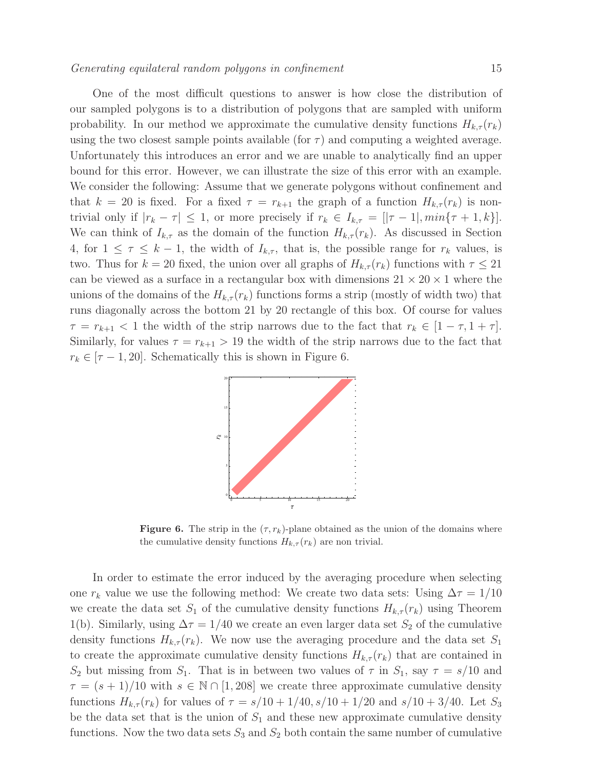One of the most difficult questions to answer is how close the distribution of our sampled polygons is to a distribution of polygons that are sampled with uniform probability. In our method we approximate the cumulative density functions  $H_{k,\tau}(r_k)$ using the two closest sample points available (for  $\tau$ ) and computing a weighted average. Unfortunately this introduces an error and we are unable to analytically find an upper bound for this error. However, we can illustrate the size of this error with an example. We consider the following: Assume that we generate polygons without confinement and that  $k = 20$  is fixed. For a fixed  $\tau = r_{k+1}$  the graph of a function  $H_{k,\tau}(r_k)$  is nontrivial only if  $|r_k - \tau| \leq 1$ , or more precisely if  $r_k \in I_{k,\tau} = [|\tau - 1|, min\{\tau + 1, k\}]$ . We can think of  $I_{k,\tau}$  as the domain of the function  $H_{k,\tau}(r_k)$ . As discussed in Section 4, for  $1 \leq \tau \leq k-1$ , the width of  $I_{k,\tau}$ , that is, the possible range for  $r_k$  values, is two. Thus for  $k = 20$  fixed, the union over all graphs of  $H_{k,\tau}(r_k)$  functions with  $\tau \leq 21$ can be viewed as a surface in a rectangular box with dimensions  $21 \times 20 \times 1$  where the unions of the domains of the  $H_{k,\tau}(r_k)$  functions forms a strip (mostly of width two) that runs diagonally across the bottom 21 by 20 rectangle of this box. Of course for values  $\tau = r_{k+1} < 1$  the width of the strip narrows due to the fact that  $r_k \in [1 - \tau, 1 + \tau]$ . Similarly, for values  $\tau = r_{k+1} > 19$  the width of the strip narrows due to the fact that  $r_k \in [\tau - 1, 20]$ . Schematically this is shown in Figure 6.



**Figure 6.** The strip in the  $(\tau, r_k)$ -plane obtained as the union of the domains where the cumulative density functions  $H_{k,\tau}(r_k)$  are non trivial.

In order to estimate the error induced by the averaging procedure when selecting one  $r_k$  value we use the following method: We create two data sets: Using  $\Delta \tau = 1/10$ we create the data set  $S_1$  of the cumulative density functions  $H_{k,\tau}(r_k)$  using Theorem 1(b). Similarly, using  $\Delta \tau = 1/40$  we create an even larger data set  $S_2$  of the cumulative density functions  $H_{k,\tau}(r_k)$ . We now use the averaging procedure and the data set  $S_1$ to create the approximate cumulative density functions  $H_{k,\tau}(r_k)$  that are contained in  $S_2$  but missing from  $S_1$ . That is in between two values of  $\tau$  in  $S_1$ , say  $\tau = s/10$  and  $\tau = (s+1)/10$  with  $s \in \mathbb{N} \cap [1, 208]$  we create three approximate cumulative density functions  $H_{k,\tau}(r_k)$  for values of  $\tau = s/10 + 1/40$ ,  $s/10 + 1/20$  and  $s/10 + 3/40$ . Let  $S_3$ be the data set that is the union of  $S_1$  and these new approximate cumulative density functions. Now the two data sets  $S_3$  and  $S_2$  both contain the same number of cumulative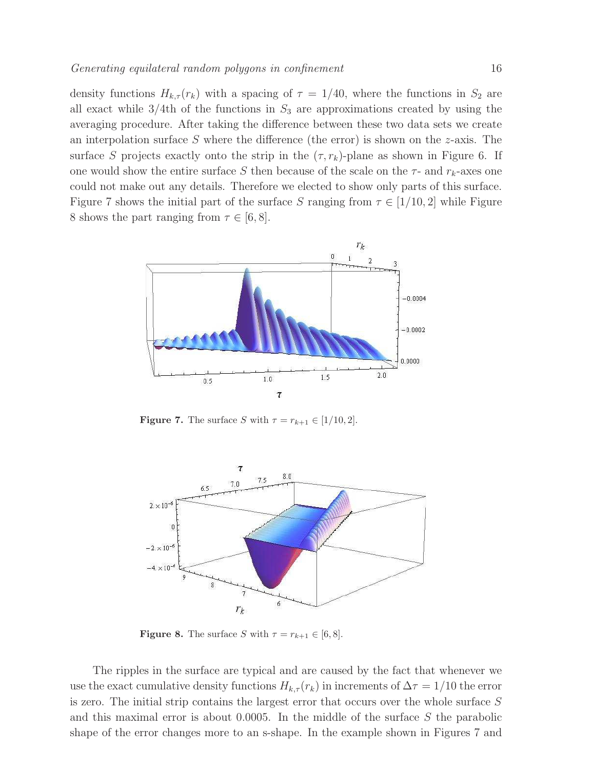density functions  $H_{k,\tau}(r_k)$  with a spacing of  $\tau = 1/40$ , where the functions in  $S_2$  are all exact while  $3/4$ th of the functions in  $S_3$  are approximations created by using the averaging procedure. After taking the difference between these two data sets we create an interpolation surface S where the difference (the error) is shown on the  $z$ -axis. The surface S projects exactly onto the strip in the  $(\tau, r_k)$ -plane as shown in Figure 6. If one would show the entire surface S then because of the scale on the  $\tau$ - and  $r_k$ -axes one could not make out any details. Therefore we elected to show only parts of this surface. Figure 7 shows the initial part of the surface S ranging from  $\tau \in [1/10, 2]$  while Figure 8 shows the part ranging from  $\tau \in [6, 8]$ .



**Figure 7.** The surface S with  $\tau = r_{k+1} \in [1/10, 2]$ .



**Figure 8.** The surface S with  $\tau = r_{k+1} \in [6, 8]$ .

The ripples in the surface are typical and are caused by the fact that whenever we use the exact cumulative density functions  $H_{k,\tau}(r_k)$  in increments of  $\Delta \tau = 1/10$  the error is zero. The initial strip contains the largest error that occurs over the whole surface S and this maximal error is about  $0.0005$ . In the middle of the surface S the parabolic shape of the error changes more to an s-shape. In the example shown in Figures 7 and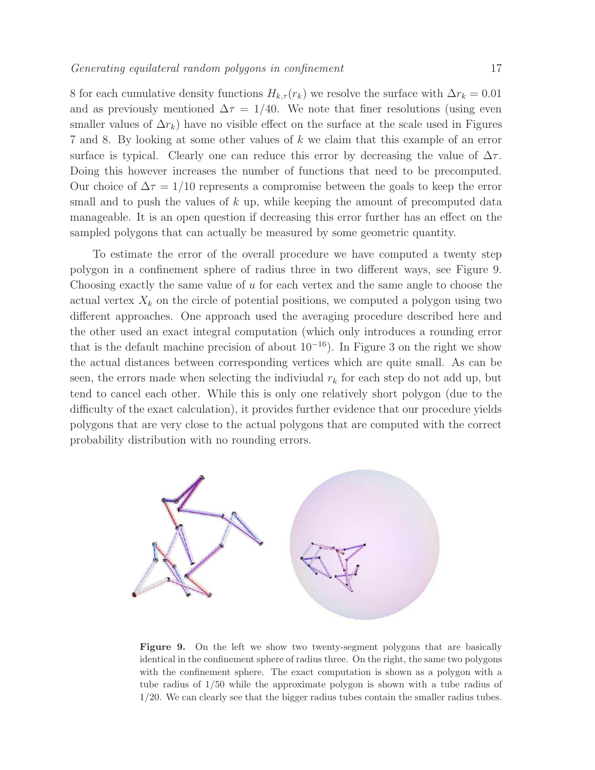8 for each cumulative density functions  $H_{k,\tau}(r_k)$  we resolve the surface with  $\Delta r_k = 0.01$ and as previously mentioned  $\Delta \tau = 1/40$ . We note that finer resolutions (using even smaller values of  $\Delta r_k$ ) have no visible effect on the surface at the scale used in Figures 7 and 8. By looking at some other values of k we claim that this example of an error surface is typical. Clearly one can reduce this error by decreasing the value of  $\Delta \tau$ . Doing this however increases the number of functions that need to be precomputed. Our choice of  $\Delta \tau = 1/10$  represents a compromise between the goals to keep the error small and to push the values of  $k$  up, while keeping the amount of precomputed data manageable. It is an open question if decreasing this error further has an effect on the sampled polygons that can actually be measured by some geometric quantity.

To estimate the error of the overall procedure we have computed a twenty step polygon in a confinement sphere of radius three in two different ways, see Figure 9. Choosing exactly the same value of  $u$  for each vertex and the same angle to choose the actual vertex  $X_k$  on the circle of potential positions, we computed a polygon using two different approaches. One approach used the averaging procedure described here and the other used an exact integral computation (which only introduces a rounding error that is the default machine precision of about  $10^{-16}$ ). In Figure 3 on the right we show the actual distances between corresponding vertices which are quite small. As can be seen, the errors made when selecting the indiviudal  $r_k$  for each step do not add up, but tend to cancel each other. While this is only one relatively short polygon (due to the difficulty of the exact calculation), it provides further evidence that our procedure yields polygons that are very close to the actual polygons that are computed with the correct probability distribution with no rounding errors.



Figure 9. On the left we show two twenty-segment polygons that are basically identical in the confinement sphere of radius three. On the right, the same two polygons with the confinement sphere. The exact computation is shown as a polygon with a tube radius of 1/50 while the approximate polygon is shown with a tube radius of 1/20. We can clearly see that the bigger radius tubes contain the smaller radius tubes.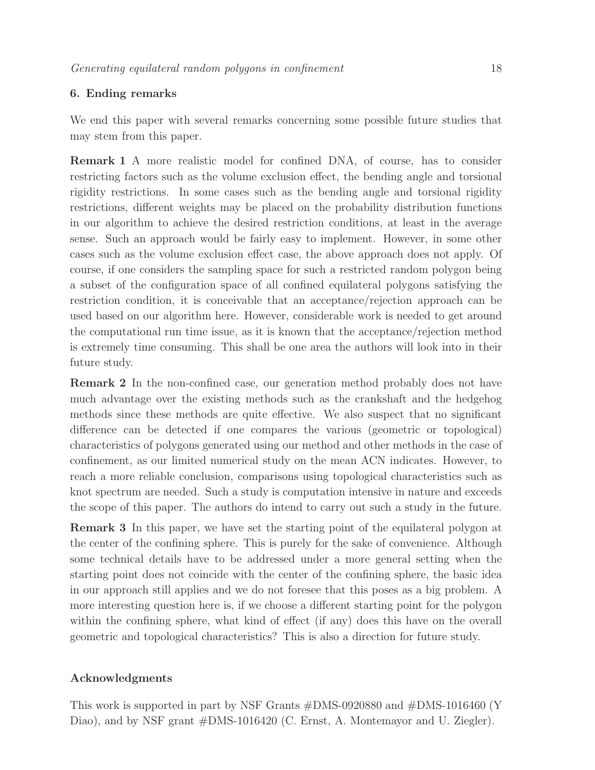# 6. Ending remarks

We end this paper with several remarks concerning some possible future studies that may stem from this paper.

Remark 1 A more realistic model for confined DNA, of course, has to consider restricting factors such as the volume exclusion effect, the bending angle and torsional rigidity restrictions. In some cases such as the bending angle and torsional rigidity restrictions, different weights may be placed on the probability distribution functions in our algorithm to achieve the desired restriction conditions, at least in the average sense. Such an approach would be fairly easy to implement. However, in some other cases such as the volume exclusion effect case, the above approach does not apply. Of course, if one considers the sampling space for such a restricted random polygon being a subset of the configuration space of all confined equilateral polygons satisfying the restriction condition, it is conceivable that an acceptance/rejection approach can be used based on our algorithm here. However, considerable work is needed to get around the computational run time issue, as it is known that the acceptance/rejection method is extremely time consuming. This shall be one area the authors will look into in their future study.

Remark 2 In the non-confined case, our generation method probably does not have much advantage over the existing methods such as the crankshaft and the hedgehog methods since these methods are quite effective. We also suspect that no significant difference can be detected if one compares the various (geometric or topological) characteristics of polygons generated using our method and other methods in the case of confinement, as our limited numerical study on the mean ACN indicates. However, to reach a more reliable conclusion, comparisons using topological characteristics such as knot spectrum are needed. Such a study is computation intensive in nature and exceeds the scope of this paper. The authors do intend to carry out such a study in the future.

Remark 3 In this paper, we have set the starting point of the equilateral polygon at the center of the confining sphere. This is purely for the sake of convenience. Although some technical details have to be addressed under a more general setting when the starting point does not coincide with the center of the confining sphere, the basic idea in our approach still applies and we do not foresee that this poses as a big problem. A more interesting question here is, if we choose a different starting point for the polygon within the confining sphere, what kind of effect (if any) does this have on the overall geometric and topological characteristics? This is also a direction for future study.

# Acknowledgments

This work is supported in part by NSF Grants #DMS-0920880 and #DMS-1016460 (Y Diao), and by NSF grant  $#DMS-1016420$  (C. Ernst, A. Montemayor and U. Ziegler).